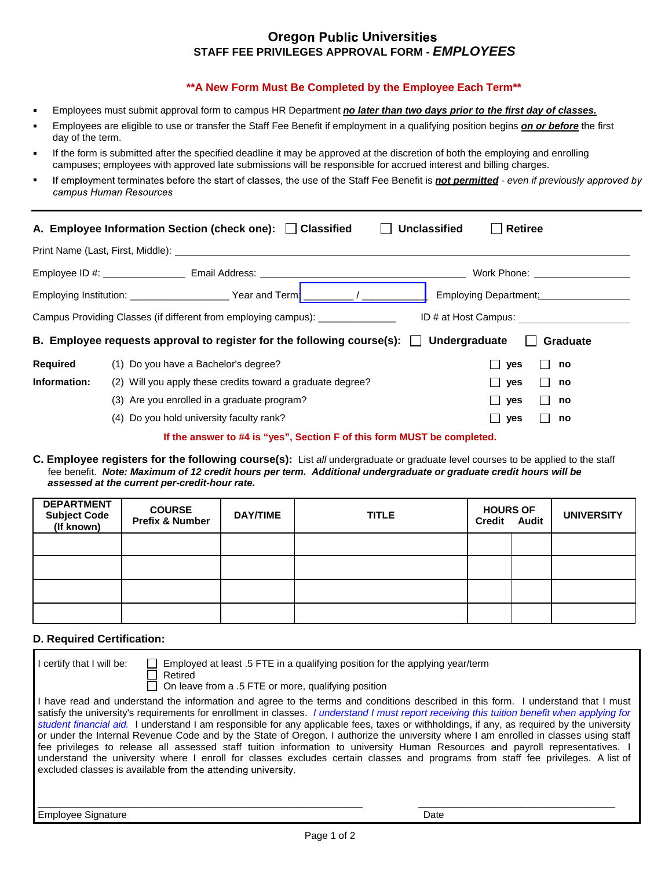# **Oregon Public Universities STAFF FEE PRIVILEGES APPROVAL FORM -** *EMPLOYEES*

## **\*\*A New Form Must Be Completed by the Employee Each Term\*\***

- Employees must submit approval form to campus HR Department *no later than two days prior to the first day of classes.*
- Employees are eligible to use or transfer the Staff Fee Benefit if employment in a qualifying position begins *on or before* the first day of the term.
- If the form is submitted after the specified deadline it may be approved at the discretion of both the employing and enrolling ÷. campuses; employees with approved late submissions will be responsible for accrued interest and billing charges.
- If employment terminates before the start of classes, the use of the Staff Fee Benefit is **not permitted** even if previously approved by campus Human Resources

| <b>Unclassified</b><br>A. Employee Information Section (check one): Classified<br><b>Retiree</b> |                                                                                                                                                                                                                               |                                                                                                                                                                                                                                |  |  |  |  |
|--------------------------------------------------------------------------------------------------|-------------------------------------------------------------------------------------------------------------------------------------------------------------------------------------------------------------------------------|--------------------------------------------------------------------------------------------------------------------------------------------------------------------------------------------------------------------------------|--|--|--|--|
|                                                                                                  | Print Name (Last, First, Middle): Note that the same of the state of the state of the state of the state of the state of the state of the state of the state of the state of the state of the state of the state of the state |                                                                                                                                                                                                                                |  |  |  |  |
|                                                                                                  |                                                                                                                                                                                                                               | Work Phone: The contract of the contract of the contract of the contract of the contract of the contract of the contract of the contract of the contract of the contract of the contract of the contract of the contract of th |  |  |  |  |
|                                                                                                  | Employing Institution: ______________________Year and Term!                                                                                                                                                                   | $\overline{1}$<br>Employing Department: <b>Employing</b>                                                                                                                                                                       |  |  |  |  |
|                                                                                                  | Campus Providing Classes (if different from employing campus): _______________                                                                                                                                                | ID # at Host Campus:                                                                                                                                                                                                           |  |  |  |  |
|                                                                                                  | B. Employee requests approval to register for the following course(s): $\Box$ Undergraduate                                                                                                                                   | Graduate                                                                                                                                                                                                                       |  |  |  |  |
| Required                                                                                         | (1) Do you have a Bachelor's degree?                                                                                                                                                                                          | $\Box$ yes<br>no                                                                                                                                                                                                               |  |  |  |  |
| Information:                                                                                     | (2) Will you apply these credits toward a graduate degree?                                                                                                                                                                    | $\Box$ yes<br>no                                                                                                                                                                                                               |  |  |  |  |
|                                                                                                  | (3) Are you enrolled in a graduate program?                                                                                                                                                                                   | $\Box$ yes<br>no                                                                                                                                                                                                               |  |  |  |  |
|                                                                                                  | (4) Do you hold university faculty rank?                                                                                                                                                                                      | $\Box$ yes<br>no                                                                                                                                                                                                               |  |  |  |  |
|                                                                                                  | If the answer to #4 is "yes", Section F of this form MUST be completed.                                                                                                                                                       |                                                                                                                                                                                                                                |  |  |  |  |

**C. Employee registers for the following course(s):** List *all* undergraduate or graduate level courses to be applied to the staff fee benefit.*Note: Maximum of 12 credit hours per term. Additional undergraduate or graduate credit hours will be assessed at the current per-credit-hour rate.* 

| <b>DEPARTMENT</b><br><b>Subject Code</b><br>(If known) | <b>COURSE</b><br>Prefix & Number | <b>DAY/TIME</b> | <b>TITLE</b> | <b>HOURS OF</b><br>Credit Audit | <b>UNIVERSITY</b> |
|--------------------------------------------------------|----------------------------------|-----------------|--------------|---------------------------------|-------------------|
|                                                        |                                  |                 |              |                                 |                   |
|                                                        |                                  |                 |              |                                 |                   |
|                                                        |                                  |                 |              |                                 |                   |
|                                                        |                                  |                 |              |                                 |                   |

## **D. Required Certification:**

| I certify that I will be: | Employed at least .5 FTE in a qualifying position for the applying year/term<br>Retired<br>$\Box$ On leave from a .5 FTE or more, qualifying position                                                                                                                                                                                                                                                                                                                                                                                                                                                                                                                                                                                                                                                                                                                                                       |      |
|---------------------------|-------------------------------------------------------------------------------------------------------------------------------------------------------------------------------------------------------------------------------------------------------------------------------------------------------------------------------------------------------------------------------------------------------------------------------------------------------------------------------------------------------------------------------------------------------------------------------------------------------------------------------------------------------------------------------------------------------------------------------------------------------------------------------------------------------------------------------------------------------------------------------------------------------------|------|
|                           | I have read and understand the information and agree to the terms and conditions described in this form. I understand that I must<br>satisfy the university's requirements for enrollment in classes. I understand I must report receiving this tuition benefit when applying for<br>student financial aid. I understand I am responsible for any applicable fees, taxes or withholdings, if any, as required by the university<br>or under the Internal Revenue Code and by the State of Oregon. I authorize the university where I am enrolled in classes using staff<br>fee privileges to release all assessed staff tuition information to university Human Resources and payroll representatives. I<br>understand the university where I enroll for classes excludes certain classes and programs from staff fee privileges. A list of<br>excluded classes is available from the attending university. |      |
| <b>Employee Signature</b> |                                                                                                                                                                                                                                                                                                                                                                                                                                                                                                                                                                                                                                                                                                                                                                                                                                                                                                             | Date |